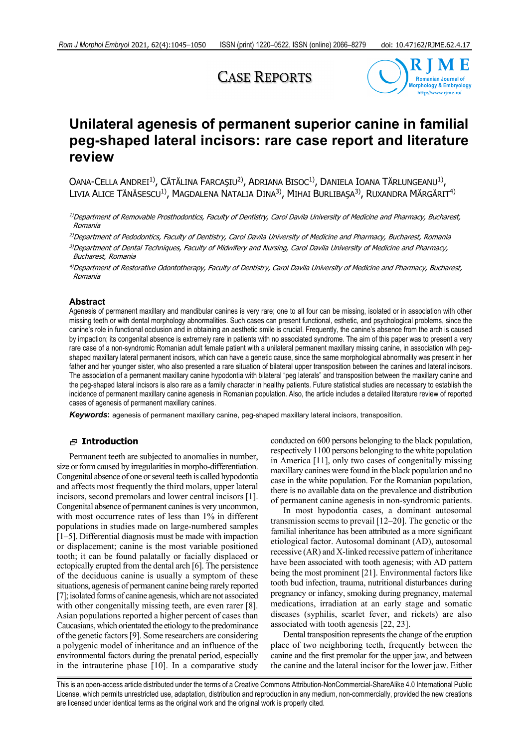# CASE REPORTS



# **Unilateral agenesis of permanent superior canine in familial peg-shaped lateral incisors: rare case report and literature review**

OANA-CELLA ANDREI<sup>1)</sup>, CĂTĂLINA FARCAȘIU<sup>2)</sup>, ADRIANA BISOC<sup>1</sup><sup>)</sup>, DANIELA IOANA TĂRLUNGEANU<sup>1</sup><sup>)</sup>, LIVIA ALICE TĂNĂSESCU<sup>1)</sup>, MAGDALENA NATALIA DINA<sup>3)</sup>, MIHAI BURLIBAȘA<sup>3</sup>), RUXANDRA MĂRGĂRIT<sup>4)</sup>

<sup>1)</sup>Department of Removable Prosthodontics, Faculty of Dentistry, Carol Davila University of Medicine and Pharmacy, Bucharest, Romania

2)Department of Pedodontics, Faculty of Dentistry, Carol Davila University of Medicine and Pharmacy, Bucharest, Romania

<sup>3)</sup>Department of Dental Techniques, Faculty of Midwifery and Nursing, Carol Davila University of Medicine and Pharmacy, Bucharest, Romania

<sup>4)</sup>Department of Restorative Odontotherapy, Faculty of Dentistry, Carol Davila University of Medicine and Pharmacy, Bucharest, Romania

### **Abstract**

Agenesis of permanent maxillary and mandibular canines is very rare; one to all four can be missing, isolated or in association with other missing teeth or with dental morphology abnormalities. Such cases can present functional, esthetic, and psychological problems, since the canine's role in functional occlusion and in obtaining an aesthetic smile is crucial. Frequently, the canine's absence from the arch is caused by impaction; its congenital absence is extremely rare in patients with no associated syndrome. The aim of this paper was to present a very rare case of a non-syndromic Romanian adult female patient with a unilateral permanent maxillary missing canine, in association with pegshaped maxillary lateral permanent incisors, which can have a genetic cause, since the same morphological abnormality was present in her father and her younger sister, who also presented a rare situation of bilateral upper transposition between the canines and lateral incisors. The association of a permanent maxillary canine hypodontia with bilateral "peg laterals" and transposition between the maxillary canine and the peg-shaped lateral incisors is also rare as a family character in healthy patients. Future statistical studies are necessary to establish the incidence of permanent maxillary canine agenesis in Romanian population. Also, the article includes a detailed literature review of reported cases of agenesis of permanent maxillary canines.

*Keywords***:** agenesis of permanent maxillary canine, peg-shaped maxillary lateral incisors, transposition.

### **Introduction**

Permanent teeth are subjected to anomalies in number, size or form caused by irregularities in morpho-differentiation. Congenital absence of one or several teeth is called hypodontia and affects most frequently the third molars, upper lateral incisors, second premolars and lower central incisors [1]. Congenital absence of permanent canines is very uncommon, with most occurrence rates of less than 1% in different populations in studies made on large-numbered samples [1–5]. Differential diagnosis must be made with impaction or displacement; canine is the most variable positioned tooth; it can be found palatally or facially displaced or ectopically erupted from the dental arch [6]. The persistence of the deciduous canine is usually a symptom of these situations, agenesis of permanent canine being rarely reported [7]; isolated forms of canine agenesis, which are not associated with other congenitally missing teeth, are even rarer [8]. Asian populations reported a higher percent of cases than Caucasians, which orientated the etiology to the predominance of the genetic factors [9]. Some researchers are considering a polygenic model of inheritance and an influence of the environmental factors during the prenatal period, especially in the intrauterine phase [10]. In a comparative study

conducted on 600 persons belonging to the black population, respectively 1100 persons belonging to the white population in America [11], only two cases of congenitally missing maxillary canines were found in the black population and no case in the white population. For the Romanian population, there is no available data on the prevalence and distribution of permanent canine agenesis in non-syndromic patients.

In most hypodontia cases, a dominant autosomal transmission seems to prevail [12–20]. The genetic or the familial inheritance has been attributed as a more significant etiological factor. Autosomal dominant (AD), autosomal recessive (AR) and X-linked recessive pattern of inheritance have been associated with tooth agenesis; with AD pattern being the most prominent [21]. Environmental factors like tooth bud infection, trauma, nutritional disturbances during pregnancy or infancy, smoking during pregnancy, maternal medications, irradiation at an early stage and somatic diseases (syphilis, scarlet fever, and rickets) are also associated with tooth agenesis [22, 23].

Dental transposition represents the change of the eruption place of two neighboring teeth, frequently between the canine and the first premolar for the upper jaw, and between the canine and the lateral incisor for the lower jaw. Either

This is an open-access article distributed under the terms of a Creative Commons Attribution-NonCommercial-ShareAlike 4.0 International Public License, which permits unrestricted use, adaptation, distribution and reproduction in any medium, non-commercially, provided the new creations are licensed under identical terms as the original work and the original work is properly cited.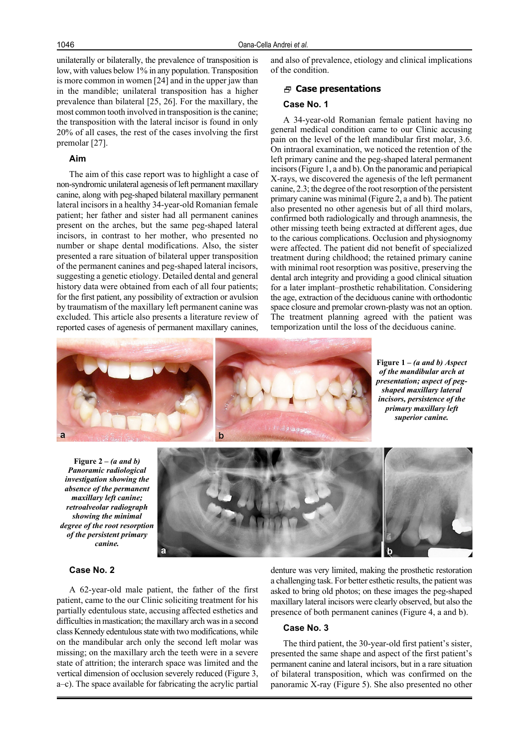unilaterally or bilaterally, the prevalence of transposition is low, with values below 1% in any population. Transposition is more common in women [24] and in the upper jaw than in the mandible; unilateral transposition has a higher prevalence than bilateral [25, 26]. For the maxillary, the most common tooth involved in transposition is the canine; the transposition with the lateral incisor is found in only 20% of all cases, the rest of the cases involving the first premolar [27].

## **Aim**

The aim of this case report was to highlight a case of non-syndromic unilateral agenesis of left permanent maxillary canine, along with peg-shaped bilateral maxillary permanent lateral incisors in a healthy 34-year-old Romanian female patient; her father and sister had all permanent canines present on the arches, but the same peg-shaped lateral incisors, in contrast to her mother, who presented no number or shape dental modifications. Also, the sister presented a rare situation of bilateral upper transposition of the permanent canines and peg-shaped lateral incisors, suggesting a genetic etiology. Detailed dental and general history data were obtained from each of all four patients; for the first patient, any possibility of extraction or avulsion by traumatism of the maxillary left permanent canine was excluded. This article also presents a literature review of reported cases of agenesis of permanent maxillary canines, and also of prevalence, etiology and clinical implications of the condition.

#### **Case presentations**

## **Case No. 1**

A 34-year-old Romanian female patient having no general medical condition came to our Clinic accusing pain on the level of the left mandibular first molar, 3.6. On intraoral examination, we noticed the retention of the left primary canine and the peg-shaped lateral permanent incisors (Figure 1, a and b). On the panoramic and periapical X-rays, we discovered the agenesis of the left permanent canine, 2.3; the degree of the root resorption of the persistent primary canine was minimal (Figure 2, a and b). The patient also presented no other agenesis but of all third molars, confirmed both radiologically and through anamnesis, the other missing teeth being extracted at different ages, due to the carious complications. Occlusion and physiognomy were affected. The patient did not benefit of specialized treatment during childhood; the retained primary canine with minimal root resorption was positive, preserving the dental arch integrity and providing a good clinical situation for a later implant–prosthetic rehabilitation. Considering the age, extraction of the deciduous canine with orthodontic space closure and premolar crown-plasty was not an option. The treatment planning agreed with the patient was temporization until the loss of the deciduous canine.



**Figure 1 –** *(a and b) Aspect of the mandibular arch at presentation; aspect of pegshaped maxillary lateral incisors, persistence of the primary maxillary left superior canine.*

**Figure 2 –** *(a and b) Panoramic radiological investigation showing the absence of the permanent maxillary left canine; retroalveolar radiograph showing the minimal degree of the root resorption of the persistent primary canine.*



denture was very limited, making the prosthetic restoration a challenging task. For better esthetic results, the patient was asked to bring old photos; on these images the peg-shaped maxillary lateral incisors were clearly observed, but also the presence of both permanent canines (Figure 4, a and b).

## **Case No. 3**

The third patient, the 30-year-old first patient's sister, presented the same shape and aspect of the first patient's permanent canine and lateral incisors, but in a rare situation of bilateral transposition, which was confirmed on the panoramic X-ray (Figure 5). She also presented no other

A 62-year-old male patient, the father of the first patient, came to the our Clinic soliciting treatment for his partially edentulous state, accusing affected esthetics and difficulties in mastication; the maxillary arch was in a second class Kennedy edentulous state with two modifications, while on the mandibular arch only the second left molar was missing; on the maxillary arch the teeth were in a severe state of attrition; the interarch space was limited and the vertical dimension of occlusion severely reduced (Figure 3, a–c). The space available for fabricating the acrylic partial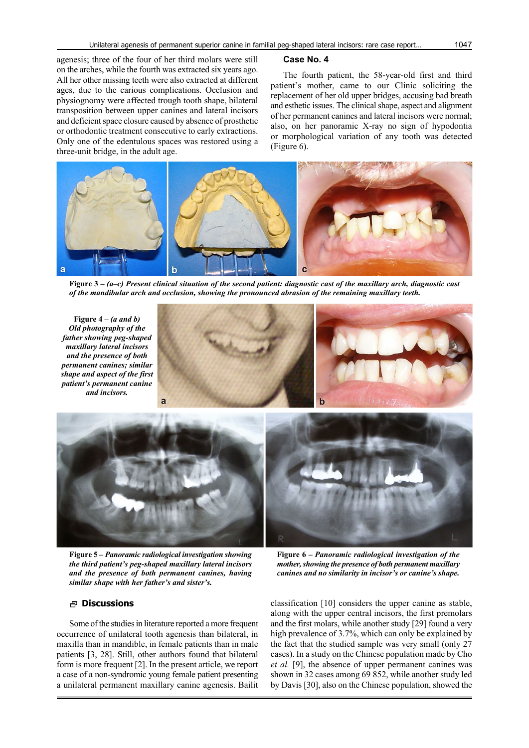agenesis; three of the four of her third molars were still on the arches, while the fourth was extracted six years ago. All her other missing teeth were also extracted at different ages, due to the carious complications. Occlusion and physiognomy were affected trough tooth shape, bilateral transposition between upper canines and lateral incisors and deficient space closure caused by absence of prosthetic or orthodontic treatment consecutive to early extractions. Only one of the edentulous spaces was restored using a three-unit bridge, in the adult age.

### **Case No. 4**

The fourth patient, the 58-year-old first and third patient's mother, came to our Clinic soliciting the replacement of her old upper bridges, accusing bad breath and esthetic issues. The clinical shape, aspect and alignment of her permanent canines and lateral incisors were normal; also, on her panoramic X-ray no sign of hypodontia or morphological variation of any tooth was detected (Figure 6).



**Figure 3 –** *(a–c) Present clinical situation of the second patient: diagnostic cast of the maxillary arch, diagnostic cast of the mandibular arch and occlusion, showing the pronounced abrasion of the remaining maxillary teeth.*

**Figure 4 –** *(a and b) Old photography of the father showing peg-shaped maxillary lateral incisors and the presence of both permanent canines; similar shape and aspect of the first patient's permanent canine and incisors.*





**Figure 5 –** *Panoramic radiological investigation showing the third patient's peg-shaped maxillary lateral incisors and the presence of both permanent canines, having similar shape with her father's and sister's.*

## **Discussions**

Some of the studies in literature reported a more frequent occurrence of unilateral tooth agenesis than bilateral, in maxilla than in mandible, in female patients than in male patients [3, 28]. Still, other authors found that bilateral form is more frequent [2]. In the present article, we report a case of a non-syndromic young female patient presenting a unilateral permanent maxillary canine agenesis. Bailit

**Figure 6 –** *Panoramic radiological investigation of the mother, showing the presence of both permanent maxillary canines and no similarity in incisor's or canine's shape.*

classification [10] considers the upper canine as stable, along with the upper central incisors, the first premolars and the first molars, while another study [29] found a very high prevalence of 3.7%, which can only be explained by the fact that the studied sample was very small (only 27 cases). In a study on the Chinese population made by Cho *et al.* [9], the absence of upper permanent canines was shown in 32 cases among 69 852, while another study led by Davis [30], also on the Chinese population, showed the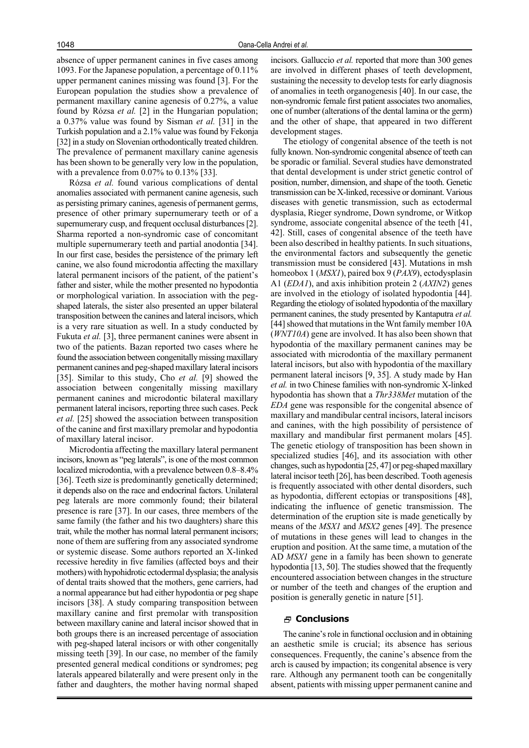absence of upper permanent canines in five cases among 1093. For the Japanese population, a percentage of 0.11% upper permanent canines missing was found [3]. For the European population the studies show a prevalence of permanent maxillary canine agenesis of 0.27%, a value found by Rózsa *et al.* [2] in the Hungarian population; a 0.37% value was found by Sisman *et al.* [31] in the Turkish population and a 2.1% value was found by Fekonja [32] in a study on Slovenian orthodontically treated children. The prevalence of permanent maxillary canine agenesis has been shown to be generally very low in the population, with a prevalence from 0.07% to 0.13% [33].

Rózsa *et al.* found various complications of dental anomalies associated with permanent canine agenesis, such as persisting primary canines, agenesis of permanent germs, presence of other primary supernumerary teeth or of a supernumerary cusp, and frequent occlusal disturbances [2]. Sharma reported a non-syndromic case of concomitant multiple supernumerary teeth and partial anodontia [34]. In our first case, besides the persistence of the primary left canine, we also found microdontia affecting the maxillary lateral permanent incisors of the patient, of the patient's father and sister, while the mother presented no hypodontia or morphological variation. In association with the pegshaped laterals, the sister also presented an upper bilateral transposition between the canines and lateral incisors, which is a very rare situation as well. In a study conducted by Fukuta *et al.* [3], three permanent canines were absent in two of the patients. Bazan reported two cases where he found the association between congenitally missing maxillary permanent canines and peg-shaped maxillary lateral incisors [35]. Similar to this study, Cho *et al.* [9] showed the association between congenitally missing maxillary permanent canines and microdontic bilateral maxillary permanent lateral incisors, reporting three such cases. Peck *et al.* [25] showed the association between transposition of the canine and first maxillary premolar and hypodontia of maxillary lateral incisor.

Microdontia affecting the maxillary lateral permanent incisors, known as "peg laterals", is one of the most common localized microdontia, with a prevalence between 0.8–8.4% [36]. Teeth size is predominantly genetically determined; it depends also on the race and endocrinal factors. Unilateral peg laterals are more commonly found; their bilateral presence is rare [37]. In our cases, three members of the same family (the father and his two daughters) share this trait, while the mother has normal lateral permanent incisors; none of them are suffering from any associated syndrome or systemic disease. Some authors reported an X-linked recessive heredity in five families (affected boys and their mothers) with hypohidrotic ectodermal dysplasia; the analysis of dental traits showed that the mothers, gene carriers, had a normal appearance but had either hypodontia or peg shape incisors [38]. A study comparing transposition between maxillary canine and first premolar with transposition between maxillary canine and lateral incisor showed that in both groups there is an increased percentage of association with peg-shaped lateral incisors or with other congenitally missing teeth [39]. In our case, no member of the family presented general medical conditions or syndromes; peg laterals appeared bilaterally and were present only in the father and daughters, the mother having normal shaped incisors. Galluccio *et al.* reported that more than 300 genes are involved in different phases of teeth development, sustaining the necessity to develop tests for early diagnosis of anomalies in teeth organogenesis [40]. In our case, the non-syndromic female first patient associates two anomalies, one of number (alterations of the dental lamina or the germ) and the other of shape, that appeared in two different development stages.

The etiology of congenital absence of the teeth is not fully known. Non-syndromic congenital absence of teeth can be sporadic or familial. Several studies have demonstrated that dental development is under strict genetic control of position, number, dimension, and shape of the tooth. Genetic transmission can be X-linked, recessive or dominant. Various diseases with genetic transmission, such as ectodermal dysplasia, Rieger syndrome, Down syndrome, or Witkop syndrome, associate congenital absence of the teeth [41, 42]. Still, cases of congenital absence of the teeth have been also described in healthy patients. In such situations, the environmental factors and subsequently the genetic transmission must be considered [43]. Mutations in msh homeobox 1 (*MSX1*), paired box 9 (*PAX9*), ectodysplasin A1 (*EDA1*), and axis inhibition protein 2 (*AXIN2*) genes are involved in the etiology of isolated hypodontia [44]. Regarding the etiology of isolated hypodontia of the maxillary permanent canines, the study presented by Kantaputra *et al.* [44] showed that mutations in the Wnt family member 10A (*WNT10A*) gene are involved. It has also been shown that hypodontia of the maxillary permanent canines may be associated with microdontia of the maxillary permanent lateral incisors, but also with hypodontia of the maxillary permanent lateral incisors [9, 35]. A study made by Han *et al.* in two Chinese families with non-syndromic X-linked hypodontia has shown that a *Thr338Met* mutation of the *EDA* gene was responsible for the congenital absence of maxillary and mandibular central incisors, lateral incisors and canines, with the high possibility of persistence of maxillary and mandibular first permanent molars [45]. The genetic etiology of transposition has been shown in specialized studies [46], and its association with other changes, such as hypodontia [25, 47] or peg-shaped maxillary lateral incisor teeth [26], has been described. Tooth agenesis is frequently associated with other dental disorders, such as hypodontia, different ectopias or transpositions [48], indicating the influence of genetic transmission. The determination of the eruption site is made genetically by means of the *MSX1* and *MSX2* genes [49]. The presence of mutations in these genes will lead to changes in the eruption and position. At the same time, a mutation of the AD *MSX1* gene in a family has been shown to generate hypodontia [13, 50]. The studies showed that the frequently encountered association between changes in the structure or number of the teeth and changes of the eruption and position is generally genetic in nature [51].

## **Conclusions**

The canine's role in functional occlusion and in obtaining an aesthetic smile is crucial; its absence has serious consequences. Frequently, the canine's absence from the arch is caused by impaction; its congenital absence is very rare. Although any permanent tooth can be congenitally absent, patients with missing upper permanent canine and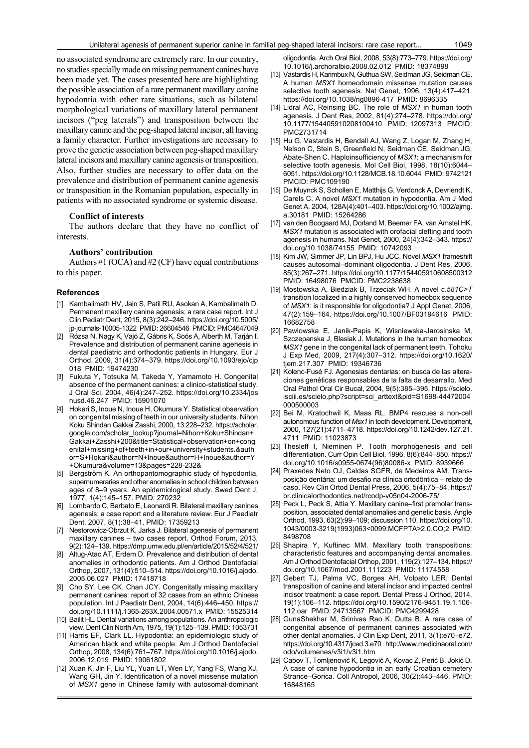no associated syndrome are extremely rare. In our country, no studies specially made on missing permanent canines have been made yet. The cases presented here are highlighting the possible association of a rare permanent maxillary canine hypodontia with other rare situations, such as bilateral morphological variations of maxillary lateral permanent incisors ("peg laterals") and transposition between the maxillary canine and the peg-shaped lateral incisor, all having a family character. Further investigations are necessary to prove the genetic association between peg-shaped maxillary lateral incisors and maxillary canine agenesis or transposition. Also, further studies are necessary to offer data on the prevalence and distribution of permanent canine agenesis or transposition in the Romanian population, especially in patients with no associated syndrome or systemic disease.

#### **Conflict of interests**

The authors declare that they have no conflict of interests.

## **Authors' contribution**

Authors #1 (OCA) and #2 (CF) have equal contributions to this paper.

#### **References**

- [1] Kambalimath HV, Jain S, Patil RU, Asokan A, Kambalimath D. Permanent maxillary canine agenesis: a rare case report. Int J Clin Pediatr Dent, 2015, 8(3):242–246. https://doi.org/10.5005/ jp-journals-10005-1322 PMID: 26604546 PMCID: PMC4647049
- [2] Rózsa N, Nagy K, Vajó Z, Gábris K, Soós A, Alberth M, Tarján I. Prevalence and distribution of permanent canine agenesis in dental paediatric and orthodontic patients in Hungary. Eur J Orthod, 2009, 31(4):374–379. https://doi.org/10.1093/ejo/cjp 018 PMID: 19474230
- [3] Fukuta Y, Totsuka M, Takeda Y, Yamamoto H. Congenital absence of the permanent canines: a clinico-statistical study. J Oral Sci, 2004, 46(4):247–252. https://doi.org/10.2334/jos nusd.46.247 PMID: 15901070
- [4] Hokari S, Inoue N, Inoue H, Okumura Y. Statistical observation on congenital missing of teeth in our university students. Nihon Koku Shindan Gakkai Zasshi, 2000, 13:228–232. https://scholar. google.com/scholar\_lookup?journal=Nihon+Koku+Shindan+ Gakkai+Zasshi+200&title=Statistical+observation+on+cong enital+missing+of+teeth+in+our+university+students.&auth or=S+Hokari&author=N+Inoue&author=H+Inoue&author=Y +Okumura&volume=13&pages=228-232&
- [5] Bergström K. An orthopantomographic study of hypodontia, supernumeraries and other anomalies in school children between ages of 8–9 years. An epidemiological study. Swed Dent J, 1977, 1(4):145–157. PMID: 270232
- [6] Lombardo C, Barbato E, Leonardi R. Bilateral maxillary canines agenesis: a case report and a literature review. Eur J Paediatr Dent, 2007, 8(1):38–41. PMID: 17359213
- [7] Nestorowicz-Obrzut K, Jarka J. Bilateral agenesis of permanent maxillary canines – two cases report. Orthod Forum, 2013, 9(2):124–139. https://dmp.umw.edu.pl/en/article/2015/52/4/521/
- [8] Altug-Atac AT, Erdem D. Prevalence and distribution of dental anomalies in orthodontic patients. Am J Orthod Dentofacial Orthop, 2007, 131(4):510–514. https://doi.org/10.1016/j.ajodo. 2005.06.027 PMID: 17418718
- [9] Cho SY, Lee CK, Chan JCY. Congenitally missing maxillary permanent canines: report of 32 cases from an ethnic Chinese population. Int J Paediatr Dent, 2004, 14(6):446–450. https:// doi.org/10.1111/j.1365-263X.2004.00571.x PMID: 15525314
- [10] Bailit HL. Dental variations among populations. An anthropologic view. Dent Clin North Am, 1975, 19(1):125–139. PMID: 1053731
- [11] Harris EF, Clark LL. Hypodontia: an epidemiologic study of American black and white people. Am J Orthod Dentofacial Orthop, 2008, 134(6):761–767. https://doi.org/10.1016/j.ajodo. 2006.12.019 PMID: 19061802
- [12] Xuan K, Jin F, Liu YL, Yuan LT, Wen LY, Yang FS, Wang XJ, Wang GH, Jin Y. Identification of a novel missense mutation of *MSX1* gene in Chinese family with autosomal-dominant

oligodontia. Arch Oral Biol, 2008, 53(8):773–779. https://doi.org/ 10.1016/j.archoralbio.2008.02.012 PMID: 18374898

- [13] Vastardis H, Karimbux N, Guthua SW, Seidman JG, Seidman CE. A human *MSX1* homeodomain missense mutation causes selective tooth agenesis. Nat Genet, 1996, 13(4):417–421. https://doi.org/10.1038/ng0896-417 PMID: 8696335
- [14] Lidral AC, Reinsing BC. The role of *MSX1* in human tooth agenesis. J Dent Res, 2002, 81(4):274–278. https://doi.org/ 10.1177/154405910208100410 PMID: 12097313 PMCID: PMC2731714
- [15] Hu G, Vastardis H, Bendall AJ, Wang Z, Logan M, Zhang H, Nelson C, Stein S, Greenfield N, Seidman CE, Seidman JG, Abate-Shen C. Haploinsufficiency of *MSX1*: a mechanism for selective tooth agenesis. Mol Cell Biol, 1998, 18(10):6044– 6051. https://doi.org/10.1128/MCB.18.10.6044 PMID: 9742121 PMCID: PMC109190
- [16] De Muynck S, Schollen E, Matthijs G, Verdonck A, Devriendt K, Carels C. A novel *MSX1* mutation in hypodontia. Am J Med Genet A, 2004, 128A(4):401–403. https://doi.org/10.1002/ajmg. a.30181 PMID: 15264286
- [17] van den Boogaard MJ, Dorland M, Beemer FA, van Amstel HK. *MSX1* mutation is associated with orofacial clefting and tooth agenesis in humans. Nat Genet, 2000, 24(4):342–343. https:// doi.org/10.1038/74155 PMID: 10742093
- [18] Kim JW, Simmer JP, Lin BPJ, Hu JCC. Novel *MSX1* frameshift causes autosomal–dominant oligodontia. J Dent Res, 2006, 85(3):267–271. https://doi.org/10.1177/154405910608500312 PMID: 16498076 PMCID: PMC2238638
- [19] Mostowska A, Biedziak B, Trzeciak WH. A novel *c.581C>T* transition localized in a highly conserved homeobox sequence of *MSX1*: is it responsible for oligodontia? J Appl Genet, 2006, 47(2):159–164. https://doi.org/10.1007/BF03194616 PMID: 16682758
- [20] Pawlowska E, Janik-Papis K, Wisniewska-Jarosinska M, Szczepanska J, Blasiak J. Mutations in the human homeobox *MSX1* gene in the congenital lack of permanent teeth. Tohoku J Exp Med, 2009, 217(4):307–312. https://doi.org/10.1620/ tjem.217.307 PMID: 19346736
- [21] Kolenc-Fusé FJ. Agenesias dentarias: en busca de las alteraciones genéticas responsables de la falta de desarrallo. Med Oral Pathol Oral Cir Bucal, 2004, 9(5):385–395. https://scielo. isciii.es/scielo.php?script=sci\_arttext&pid=S1698-44472004 000500003
- [22] Bei M, Kratochwil K, Maas RL. BMP4 rescues a non-cell autonomous function of *Msx1* in tooth development. Development, 2000, 127(21):4711–4718. https://doi.org/10.1242/dev.127.21. 4711 PMID: 11023873
- [23] Thesleff I, Nieminen P. Tooth morphogenesis and cell differentiation. Curr Opin Cell Biol, 1996, 8(6):844–850. https:// doi.org/10.1016/s0955-0674(96)80086-x PMID: 8939666
- [24] Praxedes Neto OJ, Caldas SGFR, de Medeiros AM. Transposição dentária: um desafio na clínica ortodôntica – relato de caso. Rev Clin Ortod Dental Press, 2006, 5(4):75–84. https:// br.clinicalorthodontics.net/rcodp-v05n04-2006-75/
- [25] Peck L, Peck S, Attia Y. Maxillary canine–first premolar transposition, associated dental anomalies and genetic basis. Angle Orthod, 1993, 63(2):99–109; discussion 110. https://doi.org/10. 1043/0003-3219(1993)063<0099:MCFPTA>2.0.CO;2 PMID: 8498708
- [26] Shapira Y, Kuftinec MM. Maxillary tooth transpositions: characteristic features and accompanying dental anomalies. Am J Orthod Dentofacial Orthop, 2001, 119(2):127–134. https:// doi.org/10.1067/mod.2001.111223 PMID: 11174558
- [27] Gebert TJ, Palma VC, Borges AH, Volpato LER. Dental transposition of canine and lateral incisor and impacted central incisor treatment: a case report. Dental Press J Orthod, 2014, 19(1):106–112. https://doi.org/10.1590/2176-9451.19.1.106- 112.oar PMID: 24713567 PMCID: PMC4299428
- [28] GunaShekhar M, Srinivas Rao K, Dutta B. A rare case of congenital absence of permanent canines associated with other dental anomalies. J Clin Exp Dent, 2011, 3(1):e70–e72. https://doi.org/10.4317/jced.3.e70 http://www.medicinaoral.com/ odo/volumenes/v3i1/v3i1.htm
- [29] Cabov T, Tomljenović K, Legović A, Kovac Z, Perić B, Jokić D. A case of canine hypodontia in an early Croatian cemetery Strance–Gorica. Coll Antropol, 2006, 30(2):443–446. PMID: 16848165